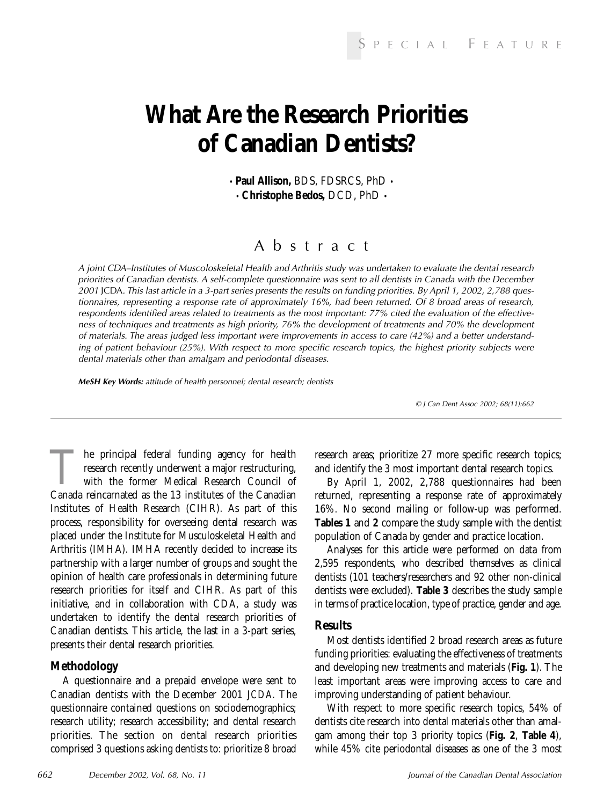# **What Are the Research Priorities of Canadian Dentists?**

• **Paul Allison,** BDS, FDSRCS, PhD • • **Christophe Bedos,** DCD, PhD •

### Abstract

A joint CDA–Institutes of Muscoloskeletal Health and Arthritis study was undertaken to evaluate the dental research priorities of Canadian dentists. A self-complete questionnaire was sent to all dentists in Canada with the December 2001 JCDA. This last article in a 3-part series presents the results on funding priorities. By April 1, 2002, 2,788 questionnaires, representing a response rate of approximately 16%, had been returned. Of 8 broad areas of research, respondents identified areas related to treatments as the most important: 77% cited the evaluation of the effectiveness of techniques and treatments as high priority, 76% the development of treatments and 70% the development of materials. The areas judged less important were improvements in access to care (42%) and a better understanding of patient behaviour (25%). With respect to more specific research topics, the highest priority subjects were dental materials other than amalgam and periodontal diseases.

*MeSH Key Words:* attitude of health personnel; dental research; dentists

© J Can Dent Assoc 2002; 68(11):662

The principal federal funding agency for health<br>research recently underwent a major restructuring,<br>with the former Medical Research Council of<br>Canada reincarnated as the 13 institutes of the Canadian research recently underwent a major restructuring, with the former Medical Research Council of Canada reincarnated as the 13 institutes of the Canadian Institutes of Health Research (CIHR). As part of this process, responsibility for overseeing dental research was placed under the Institute for Musculoskeletal Health and Arthritis (IMHA). IMHA recently decided to increase its partnership with a larger number of groups and sought the opinion of health care professionals in determining future research priorities for itself and CIHR. As part of this initiative, and in collaboration with CDA, a study was undertaken to identify the dental research priorities of Canadian dentists. This article, the last in a 3-part series, presents their dental research priorities.

#### **Methodology**

A questionnaire and a prepaid envelope were sent to Canadian dentists with the December 2001 *JCDA*. The questionnaire contained questions on sociodemographics; research utility; research accessibility; and dental research priorities. The section on dental research priorities comprised 3 questions asking dentists to: prioritize 8 broad research areas; prioritize 27 more specific research topics; and identify the 3 most important dental research topics.

By April 1, 2002, 2,788 questionnaires had been returned, representing a response rate of approximately 16%. No second mailing or follow-up was performed. **Tables 1** and **2** compare the study sample with the dentist population of Canada by gender and practice location.

Analyses for this article were performed on data from 2,595 respondents, who described themselves as clinical dentists (101 teachers/researchers and 92 other non-clinical dentists were excluded). **Table 3** describes the study sample in terms of practice location, type of practice, gender and age.

#### **Results**

Most dentists identified 2 broad research areas as future funding priorities: evaluating the effectiveness of treatments and developing new treatments and materials (**Fig. 1**). The least important areas were improving access to care and improving understanding of patient behaviour.

With respect to more specific research topics, 54% of dentists cite research into dental materials other than amalgam among their top 3 priority topics (**Fig. 2**, **Table 4**), while 45% cite periodontal diseases as one of the 3 most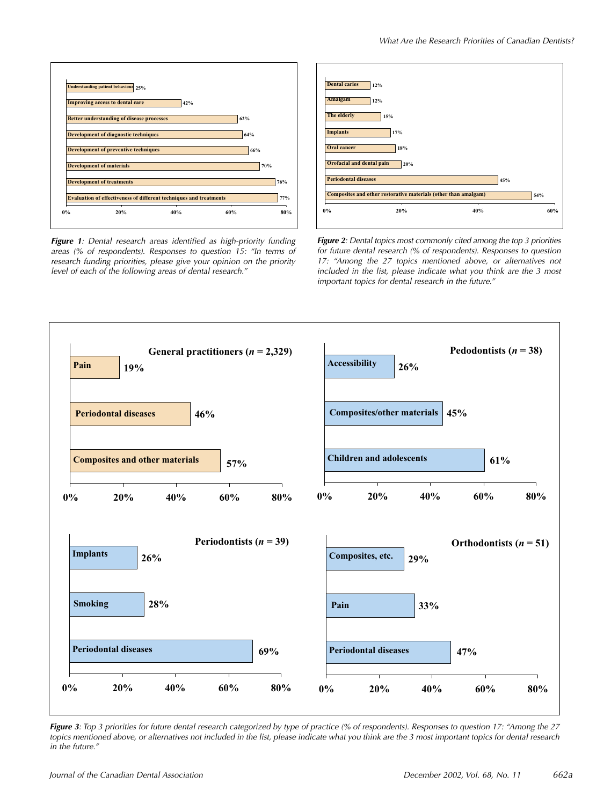

*Figure 1*: Dental research areas identified as high-priority funding areas (% of respondents). Responses to question 15: "In terms of research funding priorities, please give your opinion on the priority level of each of the following areas of dental research."



**Figure 2:** Dental topics most commonly cited among the top 3 priorities for future dental research (% of respondents). Responses to question 17: "Among the 27 topics mentioned above, or alternatives not included in the list, please indicate what you think are the 3 most important topics for dental research in the future."



**Figure 3**: Top 3 priorities for future dental research categorized by type of practice (% of respondents). Responses to question 17: "Among the 27 topics mentioned above, or alternatives not included in the list, please indicate what you think are the 3 most important topics for dental research in the future."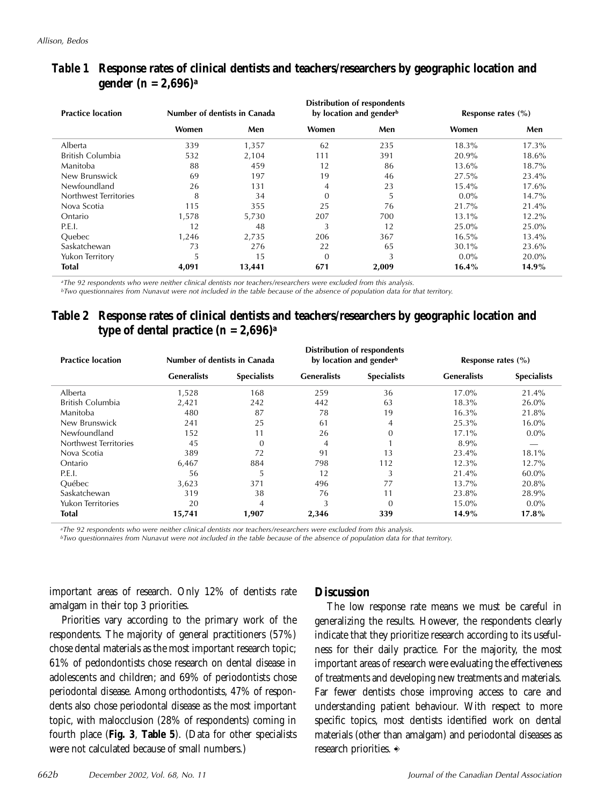| <b>Practice location</b> | Number of dentists in Canada |        |                | Distribution of respondents<br>by location and gender <sup>b</sup> | Response rates $(\% )$ |          |  |
|--------------------------|------------------------------|--------|----------------|--------------------------------------------------------------------|------------------------|----------|--|
|                          | Women                        | Men    | Women          | Men                                                                | Women                  | Men      |  |
| Alberta                  | 339                          | 1,357  | 62             | 235                                                                | $18.3\%$               | $17.3\%$ |  |
| British Columbia         | 532                          | 2,104  | 111            | 391                                                                | 20.9%                  | 18.6%    |  |
| Manitoba                 | 88                           | 459    | 12             | 86                                                                 | 13.6%                  | 18.7%    |  |
| New Brunswick            | 69                           | 197    | 19             | 46                                                                 | 27.5%                  | 23.4%    |  |
| Newfoundland             | 26                           | 131    | $\overline{4}$ | 23                                                                 | $15.4\%$               | 17.6%    |  |
| Northwest Territories    | 8                            | 34     | $\theta$       | 5                                                                  | $0.0\%$                | 14.7%    |  |
| Nova Scotia              | 115                          | 355    | 25             | 76                                                                 | 21.7%                  | 21.4%    |  |
| Ontario                  | 1.578                        | 5.730  | 207            | 700                                                                | 13.1%                  | $12.2\%$ |  |
| P.E.I.                   | 12                           | 48     | 3              | 12                                                                 | 25.0%                  | 25.0%    |  |
| <b>Ouebec</b>            | 1.246                        | 2,735  | 206            | 367                                                                | $16.5\%$               | 13.4%    |  |
| Saskatchewan             | 73                           | 276    | 22             | 65                                                                 | 30.1%                  | 23.6%    |  |
| Yukon Territory          | э                            | 15     | $\theta$       | 3                                                                  | $0.0\%$                | 20.0%    |  |
| <b>Total</b>             | 4,091                        | 13,441 | 671            | 2,009                                                              | 16.4%                  | 14.9%    |  |

#### *Table 1* **Response rates of clinical dentists and teachers/researchers by geographic location and gender (***n* **= 2,696)a**

*aThe 92 respondents who were neither clinical dentists nor teachers/researchers were excluded from this analysis.*

*bTwo questionnaires from Nunavut were not included in the table because of the absence of population data for that territory.*

#### **Table 2 Response rates of clinical dentists and teachers/researchers by geographic location and type of dental practice**  $(n = 2,696)^a$

| <b>Practice location</b> | Number of dentists in Canada |                    |                    | <b>Distribution of respondents</b><br>by location and gender <sup>b</sup> | Response rates $(\% )$ |                    |  |
|--------------------------|------------------------------|--------------------|--------------------|---------------------------------------------------------------------------|------------------------|--------------------|--|
|                          | <b>Generalists</b>           | <b>Specialists</b> | <b>Generalists</b> | <b>Specialists</b>                                                        | <b>Generalists</b>     | <b>Specialists</b> |  |
| Alberta                  | 1,528                        | 168                | 259                | 36                                                                        | 17.0%                  | 21.4%              |  |
| British Columbia         | 2,421                        | 242                | 442                | 63                                                                        | 18.3%                  | 26.0%              |  |
| Manitoba                 | 480                          | 87                 | 78                 | 19                                                                        | 16.3%                  | 21.8%              |  |
| New Brunswick            | 241                          | 25                 | 61                 | 4                                                                         | 25.3%                  | 16.0%              |  |
| Newfoundland             | 152                          | 11                 | 26                 | $\Omega$                                                                  | $17.1\%$               | $0.0\%$            |  |
| Northwest Territories    | 45                           | $\theta$           | 4                  |                                                                           | 8.9%                   |                    |  |
| Nova Scotia              | 389                          | 72                 | 91                 | 13                                                                        | 23.4%                  | 18.1%              |  |
| Ontario                  | 6,467                        | 884                | 798                | 112                                                                       | 12.3%                  | 12.7%              |  |
| <b>P.E.I.</b>            | 56                           | 5                  | 12                 | 3                                                                         | 21.4%                  | 60.0%              |  |
| <b>Ouébec</b>            | 3,623                        | 371                | 496                | 77                                                                        | 13.7%                  | 20.8%              |  |
| Saskatchewan             | 319                          | 38                 | 76                 | 11                                                                        | 23.8%                  | 28.9%              |  |
| <b>Yukon Territories</b> | 20                           | $\overline{4}$     | 3                  | $\Omega$                                                                  | 15.0%                  | $0.0\%$            |  |
| Total                    | 15,741                       | 1,907              | 2,346<br>339       |                                                                           | 14.9%                  | $17.8\%$           |  |

*aThe 92 respondents who were neither clinical dentists nor teachers/researchers were excluded from this analysis.*

*bTwo questionnaires from Nunavut were not included in the table because of the absence of population data for that territory.*

important areas of research. Only 12% of dentists rate amalgam in their top 3 priorities.

Priorities vary according to the primary work of the respondents. The majority of general practitioners (57%) chose dental materials as the most important research topic; 61% of pedondontists chose research on dental disease in adolescents and children; and 69% of periodontists chose periodontal disease. Among orthodontists, 47% of respondents also chose periodontal disease as the most important topic, with malocclusion (28% of respondents) coming in fourth place (**Fig. 3**, **Table 5**). (Data for other specialists were not calculated because of small numbers.)

#### **Discussion**

The low response rate means we must be careful in generalizing the results. However, the respondents clearly indicate that they prioritize research according to its usefulness for their daily practice. For the majority, the most important areas of research were evaluating the effectiveness of treatments and developing new treatments and materials. Far fewer dentists chose improving access to care and understanding patient behaviour. With respect to more specific topics, most dentists identified work on dental materials (other than amalgam) and periodontal diseases as research priorities.  $\Rightarrow$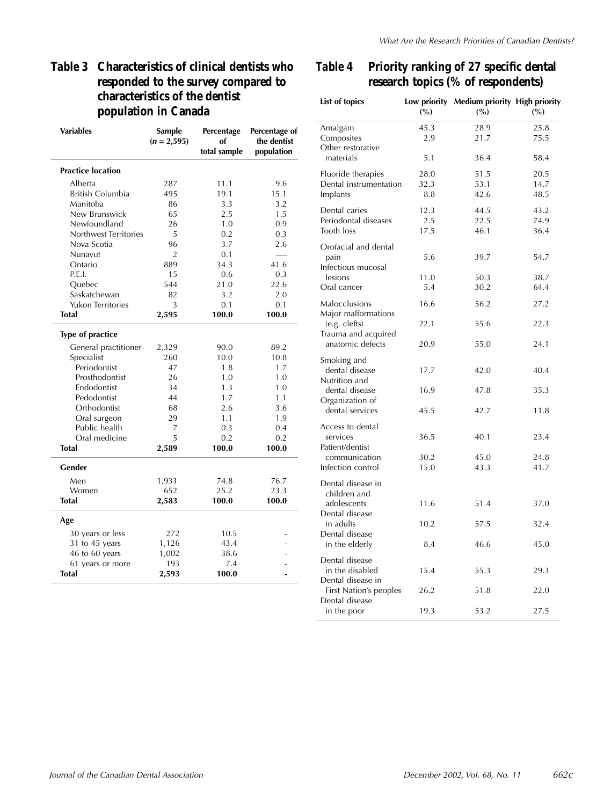### *Table 3* **Characteristics of clinical dentists who responded to the survey compared to characteristics of the dentist population in Canada**

| <b>Variables</b>         | Sample<br>$(n = 2,595)$ | Percentage<br>оf | Percentage of<br>the dentist |
|--------------------------|-------------------------|------------------|------------------------------|
|                          |                         | total sample     | population                   |
| <b>Practice location</b> |                         |                  |                              |
| Alberta                  | 287                     | 11.1             | 9.6                          |
| British Columbia         | 495                     | 19.1             | 15.1                         |
| Manitoba                 | 86                      | 3.3              | 3.2                          |
| New Brunswick            | 65                      | 2.5              | 1.5                          |
| Newfoundland             | 26                      | 1.0              | 0.9                          |
| Northwest Territories    | 5                       | 0.2              | 0.3                          |
| Nova Scotia              | 96                      | 3.7              | 2.6                          |
| Nunavut                  | $\overline{2}$          | 0.1              | $\sim$                       |
| Ontario                  | 889                     | 34.3             | 41.6                         |
| P.E.I.                   | 15                      | 0.6              | 0.3                          |
| Quebec                   | 544                     | 21.0             | 22.6                         |
| Saskatchewan             | 82                      | 3.2              | 2.0                          |
| <b>Yukon Territories</b> | 3                       | 0.1              | 0.1                          |
| <b>Total</b>             | 2,595                   | 100.0            | 100.0                        |
| <b>Type of practice</b>  |                         |                  |                              |
| General practitioner     | 2,329                   | 90.0             | 89.2                         |
| Specialist               | 260                     | 10.0             | 10.8                         |
| Periodontist             | 47                      | 1.8              | 1.7                          |
| Prosthodontist           | 26                      | 1.0              | 1.0                          |
| Endodontist              | 34                      | 1.3              | 1.0                          |
| Pedodontist              | 44                      | 1.7              | 1.1                          |
| Orthodontist             | 68                      | 2.6              | 3.6                          |
| Oral surgeon             | 29                      | 1.1              | 1.9                          |
| Public health            | 7                       | 0.3              | 0.4                          |
| Oral medicine            | 5                       | 0.2              | 0.2                          |
| <b>Total</b>             | 2,589                   | 100.0            | 100.0                        |
| Gender                   |                         |                  |                              |
| Men                      | 1,931                   | 74.8             | 76.7                         |
| Women                    | 652                     | 25.2             | 23.3                         |
| Total                    | 2,583                   | 100.0            | 100.0                        |
| Age                      |                         |                  |                              |
| 30 years or less         | 272                     | 10.5             |                              |
| 31 to 45 years           | 1,126                   | 43.4             |                              |
| 46 to 60 years           | 1,002                   | 38.6             |                              |
| 61 years or more         | 193                     | 7.4              |                              |
| Total                    | 2,593                   | 100.0            |                              |

### *Table 4* **Priority ranking of 27 specific dental research topics (% of respondents)**

J.

| List of topics                                         | (%)         | Low priority Medium priority High priority<br>(%) | (%)          |
|--------------------------------------------------------|-------------|---------------------------------------------------|--------------|
| Amalgam<br>Composites<br>Other restorative             | 45.3<br>2.9 | 28.9<br>21.7                                      | 25.8<br>75.5 |
| materials                                              | 5.1         | 36.4                                              | 58.4         |
| Fluoride therapies                                     | 28.0        | 51.5                                              | 20.5         |
| Dental instrumentation<br>Implants                     | 32.3<br>8.8 | 53.1<br>42.6                                      | 14.7<br>48.5 |
| Dental caries                                          | 12.3        | 44.5                                              | 43.2         |
| Periodontal diseases<br>Tooth loss                     | 2.5<br>17.5 | 22.5<br>46.1                                      | 74.9<br>36.4 |
| Orofacial and dental<br>pain<br>Infectious mucosal     | 5.6         | 39.7                                              | 54.7         |
| lesions                                                | 11.0        | 50.3                                              | 38.7         |
| Oral cancer                                            | 5.4         | 30.2                                              | 64.4         |
| Malocclusions<br>Major malformations                   | 16.6        | 56.2                                              | 27.2         |
| (e.g. clefts)<br>Trauma and acquired                   | 22.1        | 55.6                                              | 22.3         |
| anatomic defects                                       | 20.9        | 55.0                                              | 24.1         |
| Smoking and<br>dental disease<br>Nutrition and         | 17.7        | 42.0                                              | 40.4         |
| dental disease<br>Organization of                      | 16.9        | 47.8                                              | 35.3         |
| dental services                                        | 45.5        | 42.7                                              | 11.8         |
| Access to dental<br>services<br>Patient/dentist        | 36.5        | 40.1                                              | 23.4         |
| communication                                          | 30.2        | 45.0                                              | 24.8         |
| Infection control<br>Dental disease in<br>children and | 15.0        | 43.3                                              | 41.7         |
| adolescents<br>Dental disease                          | 11.6        | 51.4                                              | 37.0         |
| in adults<br>Dental disease                            | 10.2        | 57.5                                              | 32.4         |
| in the elderly                                         | 8.4         | 46.6                                              | 45.0         |
| Dental disease<br>in the disabled<br>Dental disease in | 15.4        | 55.3                                              | 29.3         |
| First Nation's peoples<br>Dental disease               | 26.2        | 51.8                                              | 22.0         |
| in the poor                                            | 19.3        | 53.2                                              | 27.5         |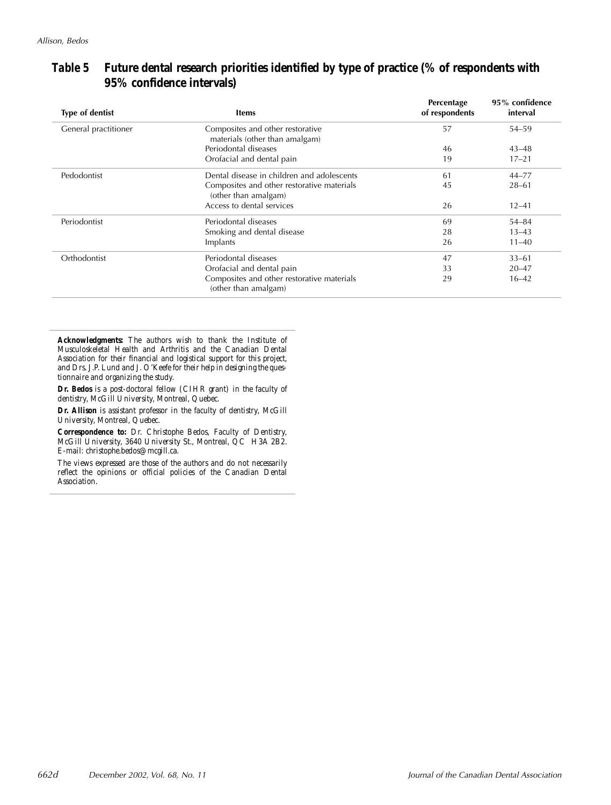| <b>Type of dentist</b> | <b>Items</b>                                                       | Percentage<br>of respondents | 95% confidence<br>interval |
|------------------------|--------------------------------------------------------------------|------------------------------|----------------------------|
| General practitioner   | Composites and other restorative<br>materials (other than amalgam) | 57                           | $54 - 59$                  |
|                        | Periodontal diseases                                               | 46                           | $43 - 48$                  |
|                        | Orofacial and dental pain                                          | 19                           | $17 - 21$                  |
| Pedodontist            | Dental disease in children and adolescents                         | 61                           | $44 - 77$                  |
|                        | Composites and other restorative materials<br>(other than amalgam) | 45                           | $28 - 61$                  |
|                        | Access to dental services                                          | 26                           | $12 - 41$                  |
| Periodontist           | Periodontal diseases                                               | 69                           | $54 - 84$                  |
|                        | Smoking and dental disease                                         | 28                           | $13 - 43$                  |
|                        | Implants                                                           | 26                           | $11 - 40$                  |
| Orthodontist           | Periodontal diseases                                               | 47                           | $33 - 61$                  |
|                        | Orofacial and dental pain                                          | 33                           | $20 - 47$                  |
|                        | Composites and other restorative materials<br>(other than amalgam) | 29                           | $16 - 42$                  |

#### *Table 5* **Future dental research priorities identified by type of practice (% of respondents with 95% confidence intervals)**

*Acknowledgments: The authors wish to thank the Institute of Musculoskeletal Health and Arthritis and the Canadian Dental Association for their financial and logistical support for this project, and Drs. J.P. Lund and J. O'Keefe for their help in designing the questionnaire and organizing the study.*

*Dr. Bedos is a post-doctoral fellow (CIHR grant) in the faculty of dentistry, McGill University, Montreal, Quebec.*

*Dr. Allison is assistant professor in the faculty of dentistry, McGill University, Montreal, Quebec.*

*Correspondence to: Dr. Christophe Bedos, Faculty of Dentistry, McGill University, 3640 University St., Montreal, QC H3A 2B2. E-mail: christophe.bedos@mcgill.ca.*

*The views expressed are those of the authors and do not necessarily reflect the opinions or official policies of the Canadian Dental Association.*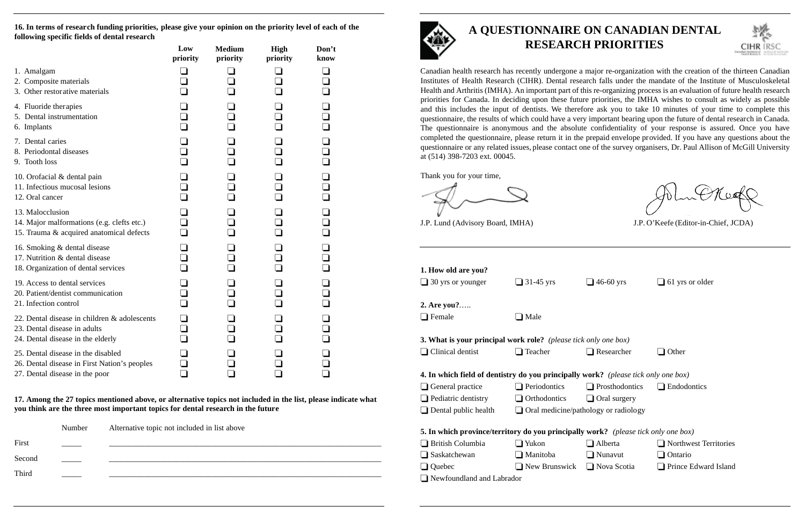## **A QUESTIONNAIRE ON CANADIAN DENTAL RESEARCH PRIORITIES**



Canadian health research has recently undergone a major re-organization with the creation of the thirteen Canadian Institutes of Health Research (CIHR). Dental research falls under the mandate of the Institute of Musculoskeletal Health and Arthritis (IMHA). An important part of this re-organizing process is an evaluation of future health research priorities for Canada. In deciding upon these future priorities, the IMHA wishes to consult as widely as possible and this includes the input of dentists. We therefore ask you to take 10 minutes of your time to complete this questionnaire, the results of which could have a very important bearing upon the future of dental research in Canada. The questionnaire is anonymous and the absolute confidentiality of your response is assured. Once you have completed the questionnaire, please return it in the prepaid envelope provided. If you have any questions about the questionnaire or any related issues, please contact one of the survey organisers, Dr. Paul Allison of McGill University at (514) 398-7203 ext. 00045.

Thank you for your time,

J.P. Lund (Advisory Board, IMHA) J.P. O'Keefe (Editor-in-Chief, JCDA)

nwest Territories e Edward Island

| 1. How old are you?<br>$\Box$ 30 yrs or younger                                           | $\Box$ 31-45 yrs                            | $\Box$ 46-60 yrs      | $\Box$ 61 yrs or older |
|-------------------------------------------------------------------------------------------|---------------------------------------------|-----------------------|------------------------|
| 2. Are you?<br>$\Box$ Female                                                              | $\Box$ Male                                 |                       |                        |
| <b>3. What is your principal work role?</b> (please tick only one box)                    |                                             |                       |                        |
| $\Box$ Clinical dentist                                                                   | $\Box$ Teacher                              | $\Box$ Researcher     | Other                  |
| <b>4. In which field of dentistry do you principally work?</b> (please tick only one box) |                                             |                       |                        |
| $\Box$ General practice                                                                   | $\Box$ Periodontics                         | $\Box$ Prosthodontics | $\Box$ Endodontics     |
| $\Box$ Pediatric dentistry                                                                | $\Box$ Orthodontics                         | $\Box$ Oral surgery   |                        |
| $\Box$ Dental public health                                                               | $\Box$ Oral medicine/pathology or radiology |                       |                        |
| <b>5. In which province/territory do you principally work?</b> (please tick only one box) |                                             |                       |                        |
| <b>British Columbia</b>                                                                   | $\Box$ Yukon                                | $\Box$ Alberta        | $\Box$ Northwest Ter.  |
| Saskatchewan                                                                              | $\Box$ Manitoba                             | $\Box$ Nunavut        | $\Box$ Ontario         |
| Quebec                                                                                    | $\Box$ New Brunswick                        | $\Box$ Nova Scotia    | $\Box$ Prince Edward   |
| I Newfoundland and Labrador                                                               |                                             |                       |                        |

|        | Number | Alternative topic not included in list above |
|--------|--------|----------------------------------------------|
| First  |        |                                              |
| Second |        |                                              |
| Third  |        |                                              |
|        |        |                                              |



**16. In terms of research funding priorities, please give your opinion on the priority level of each of the following specific fields of dental research**

|                                                                                                                      | Low<br>priority | <b>Medium</b><br>priority | High<br>priority | Don't<br>know |
|----------------------------------------------------------------------------------------------------------------------|-----------------|---------------------------|------------------|---------------|
| 1. Amalgam<br>2. Composite materials<br>3. Other restorative materials                                               |                 |                           |                  |               |
| 4. Fluoride therapies<br>5. Dental instrumentation<br>6. Implants                                                    |                 |                           |                  | $\Box$        |
| 7. Dental caries<br>8. Periodontal diseases<br>9. Tooth loss                                                         |                 |                           |                  | ロロロ           |
| 10. Orofacial & dental pain<br>11. Infectious mucosal lesions<br>12. Oral cancer                                     |                 |                           |                  | ロロロ           |
| 13. Malocclusion<br>14. Major malformations (e.g. clefts etc.)<br>15. Trauma & acquired anatomical defects           |                 |                           |                  | 0<br>0<br>0   |
| 16. Smoking & dental disease<br>17. Nutrition & dental disease<br>18. Organization of dental services                |                 |                           |                  |               |
| 19. Access to dental services<br>20. Patient/dentist communication<br>21. Infection control                          |                 |                           |                  | $\Box$        |
| 22. Dental disease in children & adolescents<br>23. Dental disease in adults<br>24. Dental disease in the elderly    |                 |                           |                  | $\Box$        |
| 25. Dental disease in the disabled<br>26. Dental disease in First Nation's peoples<br>27. Dental disease in the poor |                 |                           |                  |               |

**17. Among the 27 topics mentioned above, or alternative topics not included in the list, please indicate what you think are the three most important topics for dental research in the future**